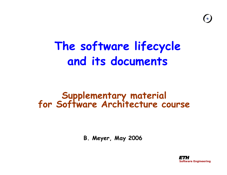## **The software lifecycle and its documents**

# **Supplementary material for Software Architecture course**

**B. Meyer, May 2006**

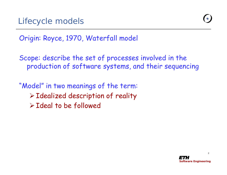

#### Origin: Royce, 1970, Waterfall model

Scope: describe the set of processes involved in the production of software systems, and their sequencing

"Model" in two meanings of the term:  $\triangleright$  Idealized description of reality ¾Ideal to be followed

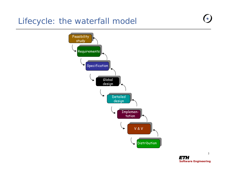#### Lifecycle: the waterfall model



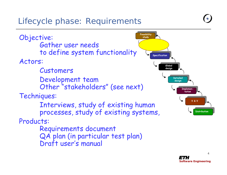#### Lifecycle phase: Requirements

**Feasibility study Specification Globaldesign Detaileddesign ImplementationV & VDistribution** Objective: Gather user needs to define system functionality Actors: Customers Development team Other "stakeholders" (see next) Techniques: Interviews, study of existing human processes, study of existing systems, Products: Requirements document QA plan (in particular test plan) Draft user's manual

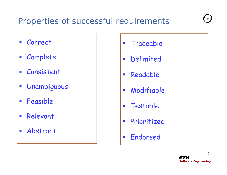#### Properties of successful requirements

- Correct
- Complete
- $\mathcal{L}^{\mathcal{L}}$ Consistent
- $\mathcal{L}_{\mathcal{A}}$ Unambiguous
- $\mathcal{L}_{\mathcal{A}}$ Feasible
- $\overline{\mathcal{A}}$ Relevant
- Abstract
- **Traceable**
- Delimited
- Readable
- Modifiable
- **Testable**
- **Prioritized**
- **Endorsed**

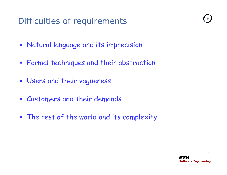- **Natural language and its imprecision**
- **Formal techniques and their abstraction**
- **Users and their vagueness**
- $\mathcal{L}_{\mathcal{A}}$ Customers and their demands
- $\overline{\mathbb{R}^n}$ The rest of the world and its complexity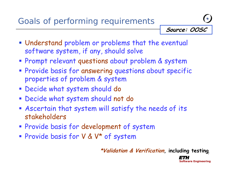#### Goals of performing requirements



*Software Engineering*

- Understand problem or problems that the eventual software system, if any, should solve
- **Prompt relevant questions about problem & system**
- **Provide basis for answering questions about specific** properties of problem & system
- Decide what s ystem should do
- Decide what s ystem should not do
- Ascertain that system will satisfy the needs of its stakeholders
- Provide basis for development of system
- **Provide basis for V & V\* of system**

7 **\*Validation & Verification, including testing**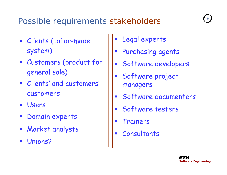#### Possible requirements stakeholders

- Clients (tailor-made system)
- Customers (product for general sale)
- Clients' and customers' customers
- $\mathcal{L}_{\mathcal{A}}$ Users
- $\mathcal{L}_{\mathcal{A}}$ Domain experts
- $\mathcal{L}_{\mathcal{A}}$ Market analysts
- $\mathcal{L}_{\mathcal{A}}$ Unions?
- Legal experts
- $\mathcal{L}_{\mathcal{A}}$ Purchasing agents
- Software developers
- Software project managers
- Software documenters
- **Software testers**
- $\mathcal{L}_{\mathcal{A}}$ Trainers
- $\blacksquare$ Consultants

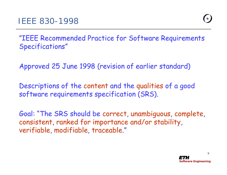"IEEE Recommended Practice for Software Requirements Specifications"

Approved 25 June 1998 (revision of earlier standard)

Descriptions of the content and the qualities of a good software requirements specification (SRS).

Goal: "The SRS should be correct, unambiguous, complete, consistent, ranked for importance and/or stability, verifiable, modifiable, traceable."

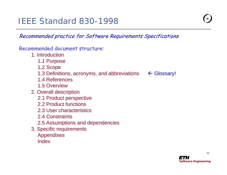#### IEEE Standard 830-1998

#### Recommended practice for Software Requirements Specifications

#### Recommended document structure:

- 1. Introduction
	- 1.1 Purpose
	- 1.2 Scope
	- 1.3 Definitions, acronyms, and abbreviations  $\leftarrow$  Glossary!
	- 1.4 References
	- 1.5 Overview
- 2. Overall description
	- 2.1 Product perspective
	- 2.2 Product functions
	- 2.3 User characteristics
	- 2.4 Constraints
	- 2.5 Assumptions and dependencies
- 3. Specific requirements
	- Appendixes
	- Index



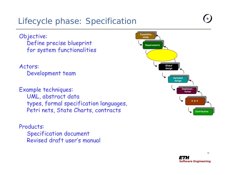#### Lifecycle phase: Specification

Objective: Define precise blueprint for system functionalities

Actors:

Development team

Example techniques: UML, abstract data types, formal spe cification languages, Petri nets, State Charts, contracts

Products: Specification document Revised draft user's manual



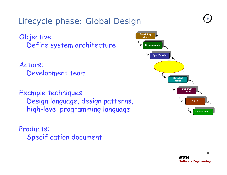#### Lifecycle phase: Global Design

Objective: Define system architecture

Actors: Development team

Example techniques: Design language, design patterns, high-level programming language

Products: Specification document



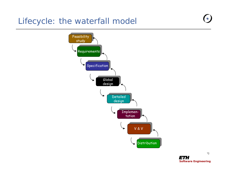#### Lifecycle: the waterfall model





13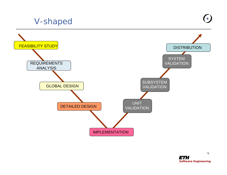#### V-shaped

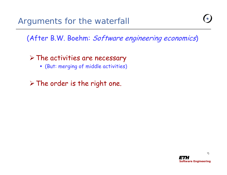(After B.W. Boehm: Software engineering economics)

#### $\triangleright$  The activities are necessary

(But: merging of middle activities)

 $\triangleright$  The order is the right one.

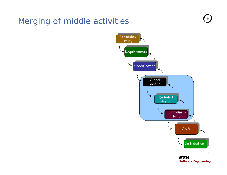#### Merging of middle activities

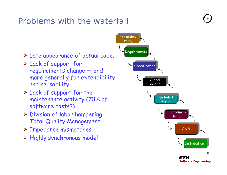#### Problems with the waterfall



*Software Engineering*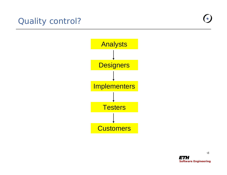



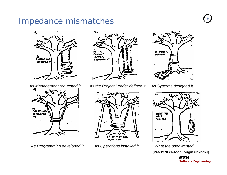#### Impedance mismatches



*As Management requested it.* as<br>Jareanino **SEVELOPED** 17

*As Programming developed it. As Operations installed it. What the user wanted.*



*As the Project Leader defined it.*





*As Systems designed it.*



(Pre-1970 cartoon; origin unknow<sub>l</sub>g)

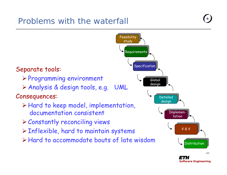#### Problems with the waterfall



*Software Engineering*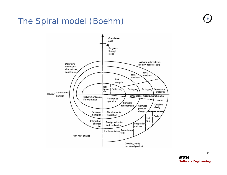#### The Spiral model (Boehm)





21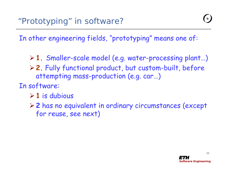In other engineering fields, "prototyping" means one of:

- <sup>¾</sup>**1.** Smaller-scale model (e.g. water-processing plant…)
- <sup>¾</sup>**2.** Fully functional product, but custom-built, before attempting mass-production (e.g. car…)
- In software:
	- ¾**1** is dubious
	- ¾**2** has no equivalent in ordinary circumstances (except for reuse, see next)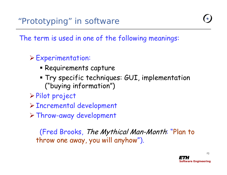The term is used in one of the following meanings:

#### $\triangleright$  Experimentation:

- Requirements capture
- Try specific techniques: GUI, implementation ("buying information")
- <sup>¾</sup>Pilot project
- <sup>¾</sup>Incremental development
- $\triangleright$  Throw-away development

(Fred Brooks, The Mythical Man-Month: "Plan to throw one away, you will anyhow").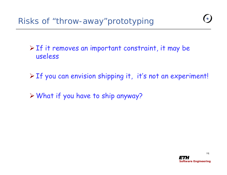$\triangleright$  If it removes an important constraint, it may be useless

<sup>¾</sup>If you can envision shipping it, it's not an experiment!

 $\triangleright$  What if you have to ship anyway?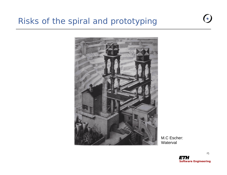#### Risks of the spiral and prototyping



M.C Escher: Waterval



25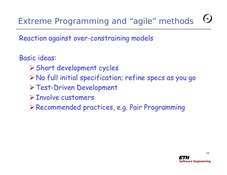### Extreme Programming and "agile" methods

Reaction against over-constraining models

#### Basic ideas:

- <sup>¾</sup>Short development cycles
- <sup>¾</sup>No full initial specification; r efine specs as you go
- <sup>¾</sup>Test-Driven Development
- ¾Involve customers
- ¾Recommended practices, e.g. Pair Programming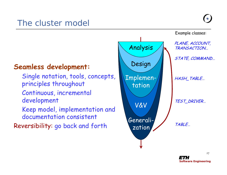#### **Seamless development:**

- Single notation, tools, concepts, principles throughout
- Continuous, incremental development
- Keep model, implementation and documentation consistent
- Reversibility: go back and forth

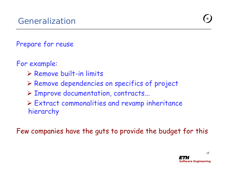#### Prepare for reuse

For example:

- $\triangleright$  Remove built-in limits
- ¾ Remove dependencies on specifics of project
- ¾ Improve documentation, contracts...
- ¾ Extract commonalities and revamp inheritance hierarchy

Few companies have the guts to provide the budget for this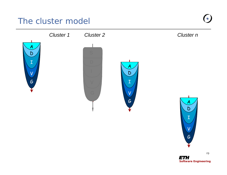#### The cluster model





29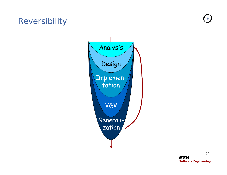#### Reversibility